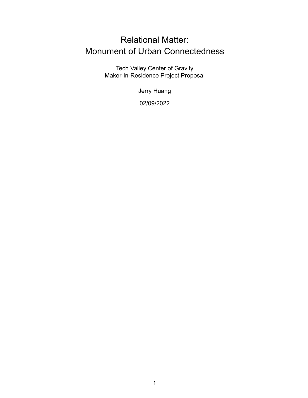# Relational Matter: Monument of Urban Connectedness

Tech Valley Center of Gravity Maker-In-Residence Project Proposal

Jerry Huang

02/09/2022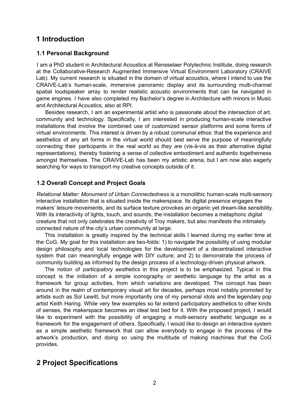# **1 Introduction**

### **1.1 Personal Background**

I am a PhD student in Architectural Acoustics at Rensselaer Polytechnic Institute, doing research at the Collaborative-Research Augmented Immersive Virtual Environment Laboratory (CRAIVE Lab). My current research is situated in the domain of virtual acoustics, where I intend to use the CRAIVE-Lab's human-scale, immersive panoramic display and its surrounding multi-channel spatial loudspeaker array to render realistic acoustic environments that can be navigated in game engines. I have also completed my Bachelor's degree in Architecture with minors in Music and Architectural Acoustics, also at RPI.

Besides research, I am an experimental artist who is passionate about the intersection of art, community and technology. Specifically, I am interested in producing human-scale interactive installations that involve the combined use of customized sensor platforms and some forms of virtual environments. This interest is driven by a robust communal ethos: that the experience and aesthetics of any art forms in the virtual world should best serve the purpose of meaningfully connecting their participants in the real world *as they are* (vis-à-vis as their alternative digital representations), thereby fostering a sense of collective embodiment and authentic togetherness amongst themselves. The CRAIVE-Lab has been my artistic arena, but I am now also eagerly searching for ways to transport my creative concepts outside of it.

### **1.2 Overall Concept and Project Goals**

*Relational Matter: Monument of Urban Connectedness* is a monolithic human-scale multi-sensory interactive installation that is situated inside the makerspace. Its digital presence engages the makers' leisure movements, and its surface texture provokes an organic yet dream-like sensibility. With its interactivity of lights, touch, and sounds, the installation becomes a metaphoric digital creature that not only celebrates the creativity of Troy makers, but also manifests the intimately connected nature of the city's urban community at large.

This installation is greatly inspired by the technical skills I learned during my earlier time at the CoG. My goal for this installation are two-folds: 1) to navigate the possibility of using modular design philosophy and local technologies for the development of a decentralized interactive system that can meaningfully engage with DIY culture; and 2) to demonstrate the process of community building as informed by the design process of a technology-driven physical artwork.

The notion of *participatory aesthetics* in this project is to be emphasized. Typical in this concept is the initiation of a simple iconography or aesthetic language by the artist as a framework for group activities, from which variations are developed. The concept has been around in the realm of contemporary visual art for decades, perhaps most notably promoted by artists such as Sol Lewitt, but more importantly one of my personal idols and the legendary pop artist Keith Haring. While very few examples so far extend participatory aesthetics to other kinds of senses, the makerspace becomes an ideal test bed for it. With the proposed project, I would like to experiment with the possibility of engaging a multi-sensory aesthetic language as a framework for the engagement of others. Specifically, I would like to design an interactive system as a simple aesthetic framework that can allow everybody to engage in the process of the artwork's production, and doing so using the multitude of making machines that the CoG provides.

# **2 Project Specifications**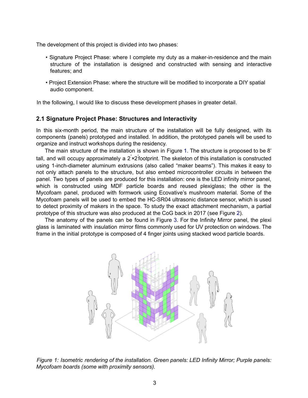The development of this project is divided into two phases:

- Signature Project Phase: where I complete my duty as a maker-in-residence and the main structure of the installation is designed and constructed with sensing and interactive features; and
- Project Extension Phase: where the structure will be modified to incorporate a DIY spatial audio component.

In the following, I would like to discuss these development phases in greater detail.

#### **2.1 Signature Project Phase: Structures and Interactivity**

In this six-month period, the main structure of the installation will be fully designed, with its components (panels) prototyped and installed. In addition, the prototyped panels will be used to organize and instruct workshops during the residency.

The main structure of the installation is shown in Figure 1. The structure is proposed to be 8' tall, and will occupy approximately a 2<sup>'</sup>×2<sup>'</sup>footprint. The skeleton of this installation is constructed using 1-inch-diameter aluminum extrusions (also called "maker beams"). This makes it easy to not only attach panels to the structure, but also embed microcontroller circuits in between the panel. Two types of panels are produced for this installation: one is the LED infinity mirror panel, which is constructed using MDF particle boards and reused plexiglass; the other is the Mycofoam panel, produced with formwork using Ecovative's mushroom material. Some of the Mycofoam panels will be used to embed the HC-SR04 ultrasonic distance sensor, which is used to detect proximity of makers in the space. To study the exact attachment mechanism, a partial prototype of this structure was also produced at the CoG back in 2017 (see Figure 2).

The anatomy of the panels can be found in Figure 3. For the Infinity Mirror panel, the plexi glass is laminated with insulation mirror films commonly used for UV protection on windows. The frame in the initial prototype is composed of 4 finger joints using stacked wood particle boards.



*Figure 1: Isometric rendering of the installation. Green panels: LED Infinity Mirror; Purple panels: Mycofoam boards (some with proximity sensors).*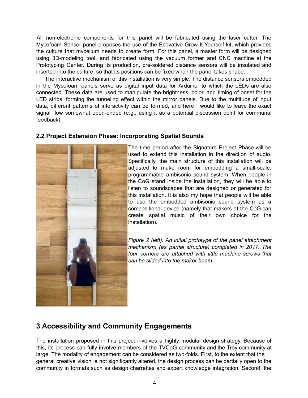All non-electronic components for this panel will be fabricated using the laser cutter. The Mycofoam Sensor panel proposes the use of the Ecovative Grow-It-Yourself kit, which provides the culture that mycelium needs to create form. For this panel, a master form will be designed using 3D-modeling tool, and fabricated using the vacuum former and CNC machine at the Prototyping Center. During its production, pre-soldered distance sensors will be insulated and inserted into the culture, so that its positions can be fixed when the panel takes shape.

The interactive mechanism of this installation is very simple. The distance sensors embedded in the Mycofoam panels serve as digital input data for Arduino, to which the LEDs are also connected. These data are used to manipulate the brightness, color, and timing of onset for the LED strips, forming the tunneling effect within the mirror panels. Due to the multitude of input data, different patterns of interactivity can be formed, and here I would like to leave the exact signal flow somewhat open-ended (e.g., using it as a potential discussion point for communal feedback).



#### **2.2 Project Extension Phase: Incorporating Spatial Sounds**

The time period after the Signature Project Phase will be used to extend this installation in the direction of audio. Specifically, the main structure of this installation will be adjusted to make room for embedding a small-scale, programmable ambisonic sound system. When people in the CoG stand inside the installation, they will be able to listen to soundscapes that are designed or generated for this installation. It is also my hope that people will be able to use the embedded ambisonic sound system as a compositional device (namely that makers at the CoG can create spatial music of their own choice for the installation).

*Figure 2 (left): An initial prototype of the panel attachment mechanism (as partial structure) completed in 2017. The four corners are attached with little machine screws that can be slided into the maker beam.*

## **3 Accessibility and Community Engagements**

The installation proposed in this project involves a highly modular design strategy. Because of this, its process can fully involve members of the TVCoG community and the Troy community at large. The modality of engagement can be considered as two-folds. First, to the extent that the general creative vision is not significantly altered, the design process can be partially open to the community in formats such as design charrettes and expert knowledge integration. Second, the